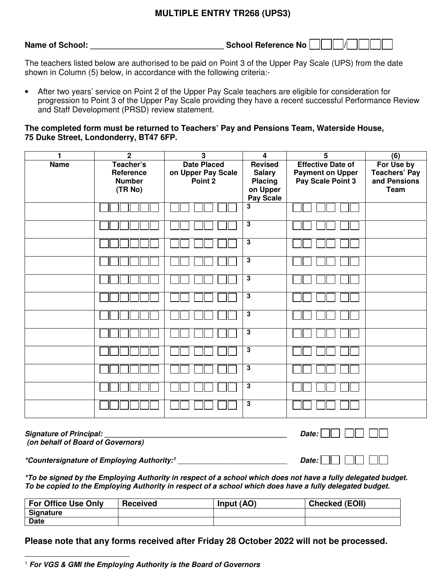## **MULTIPLE ENTRY TR268 (UPS3)**

| <b>Name of School:</b> | School Reference No |  |
|------------------------|---------------------|--|
|------------------------|---------------------|--|

The teachers listed below are authorised to be paid on Point 3 of the Upper Pay Scale (UPS) from the date shown in Column (5) below, in accordance with the following criteria:-

• After two years' service on Point 2 of the Upper Pay Scale teachers are eligible for consideration for progression to Point 3 of the Upper Pay Scale providing they have a recent successful Performance Review and Staff Development (PRSD) review statement.

**The completed form must be returned to Teachers' Pay and Pensions Team, Waterside House, 75 Duke Street, Londonderry, BT47 6FP.** 

| 1           | $\mathbf 2$                                        | $\mathbf{3}$                                        | $\overline{4}$                                                      | $\overline{5}$                                                           | (6)                                                               |
|-------------|----------------------------------------------------|-----------------------------------------------------|---------------------------------------------------------------------|--------------------------------------------------------------------------|-------------------------------------------------------------------|
| <b>Name</b> | Teacher's<br>Reference<br><b>Number</b><br>(TR No) | <b>Date Placed</b><br>on Upper Pay Scale<br>Point 2 | Revised<br><b>Salary</b><br><b>Placing</b><br>on Upper<br>Pay Scale | <b>Effective Date of</b><br><b>Payment on Upper</b><br>Pay Scale Point 3 | For Use by<br><b>Teachers' Pay</b><br>and Pensions<br><b>Team</b> |
|             |                                                    |                                                     | 3                                                                   |                                                                          |                                                                   |
|             |                                                    |                                                     | $\overline{3}$                                                      |                                                                          |                                                                   |
|             |                                                    |                                                     | $\overline{3}$                                                      |                                                                          |                                                                   |
|             |                                                    |                                                     | $\overline{a}$                                                      |                                                                          |                                                                   |
|             |                                                    |                                                     | $\overline{\mathbf{3}}$                                             |                                                                          |                                                                   |
|             |                                                    |                                                     | 3                                                                   |                                                                          |                                                                   |
|             |                                                    |                                                     | $\overline{\mathbf{3}}$                                             |                                                                          |                                                                   |
|             |                                                    |                                                     | $\mathbf 3$                                                         |                                                                          |                                                                   |
|             |                                                    |                                                     | $\overline{3}$                                                      |                                                                          |                                                                   |
|             |                                                    |                                                     | $\overline{\mathbf{3}}$                                             |                                                                          |                                                                   |
|             |                                                    |                                                     | $\overline{a}$                                                      |                                                                          |                                                                   |
|             |                                                    |                                                     | $\overline{\mathbf{3}}$                                             |                                                                          |                                                                   |

| <b>Signature of Principal:</b>    | Date: $\Box$ $\Box$ $\Box$ $\Box$ |
|-----------------------------------|-----------------------------------|
| (on behalf of Board of Governors) |                                   |

**\*Countersignature of Employing Authority:<sup>1</sup>** \_\_\_\_\_\_\_\_\_\_\_\_\_\_\_\_\_\_\_\_\_\_\_\_\_\_\_ **Date:** 

**\*To be signed by the Employing Authority in respect of a school which does not have a fully delegated budget. To be copied to the Employing Authority in respect of a school which does have a fully delegated budget.** 

| <b>For Office Use Only</b> | <b>Received</b> | Input (AO) | <b>Checked (EOII)</b> |
|----------------------------|-----------------|------------|-----------------------|
| Signature                  |                 |            |                       |
| <b>Date</b>                |                 |            |                       |

**Please note that any forms received after Friday 28 October 2022 will not be processed.**

 $\overline{a}$ <sup>1</sup> **For VGS & GMI the Employing Authority is the Board of Governors**